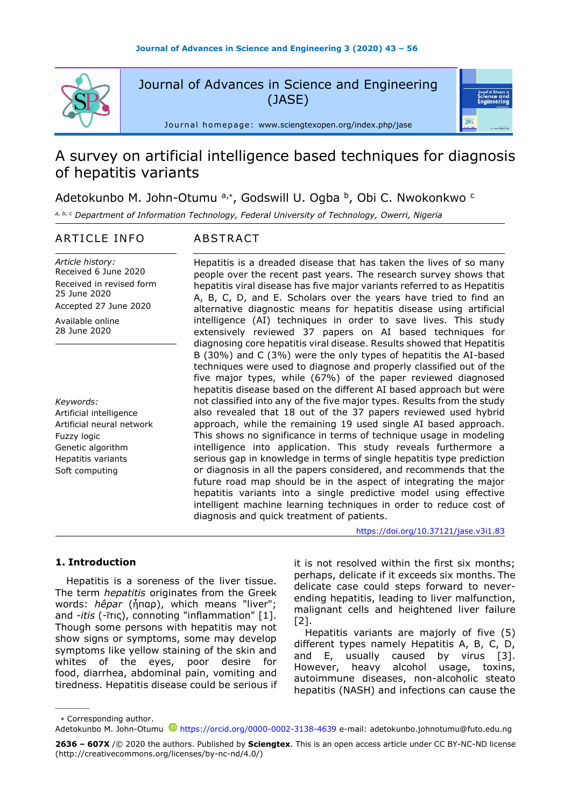

Journal of Advances in Science and Engineering (JASE)

Journal homepage: [www.sciengtexopen.org/index.php/jase](https://www.sciengtexopen.org/index.php/jase)

# A survey on artificial intelligence based techniques for diagnosis of hepatitis variants

Adetokunbo M. John-Otumu a,\*, Godswill U. Ogba b, Obi C. Nwokonkwo <sup>c</sup>

*a, b, <sup>c</sup> Department of Information Technology, Federal University of Technology, Owerri, Nigeria* 

# ARTICLE INFO ABSTRACT

*Article history:* Received 6 June 2020 Received in revised form 25 June 2020 Accepted 27 June 2020

Available online 28 June 2020

*Keywords:* Artificial intelligence Artificial neural network Fuzzy logic Genetic algorithm Hepatitis variants Soft computing

Hepatitis is a dreaded disease that has taken the lives of so many people over the recent past years. The research survey shows that hepatitis viral disease has five major variants referred to as Hepatitis A, B, C, D, and E. Scholars over the years have tried to find an alternative diagnostic means for hepatitis disease using artificial intelligence (AI) techniques in order to save lives. This study extensively reviewed 37 papers on AI based techniques for diagnosing core hepatitis viral disease. Results showed that Hepatitis B (30%) and C (3%) were the only types of hepatitis the AI-based techniques were used to diagnose and properly classified out of the five major types, while (67%) of the paper reviewed diagnosed hepatitis disease based on the different AI based approach but were not classified into any of the five major types. Results from the study also revealed that 18 out of the 37 papers reviewed used hybrid approach, while the remaining 19 used single AI based approach. This shows no significance in terms of technique usage in modeling intelligence into application. This study reveals furthermore a serious gap in knowledge in terms of single hepatitis type prediction or diagnosis in all the papers considered, and recommends that the future road map should be in the aspect of integrating the major hepatitis variants into a single predictive model using effective intelligent machine learning techniques in order to reduce cost of diagnosis and quick treatment of patients.

<https://doi.org/10.37121/jase.v3i1.83>

.<br>Science and<br>Engineering

# **1. Introduction**

Hepatitis is a soreness of the liver tissue. The term *hepatitis* originates from the Greek words: *hêpar* (ἧπαρ), which means "liver"; and *-itis* (-ῖτις), connoting "inflammation" [1]. Though some persons with hepatitis may not show signs or symptoms, some may develop symptoms like yellow staining of the skin and whites of the eyes, poor desire for food, diarrhea, abdominal pain, vomiting and tiredness. Hepatitis disease could be serious if it is not resolved within the first six months; perhaps, delicate if it exceeds six months. The delicate case could steps forward to neverending hepatitis, leading to liver malfunction, malignant cells and heightened liver failure  $[2]$ .

Hepatitis variants are majorly of five (5) different types namely Hepatitis A, B, C, D, and E, usually caused by virus [3]. However, heavy alcohol usage, toxins, autoimmune diseases, non-alcoholic steato hepatitis (NASH) and infections can cause the

Corresponding author.

———

Adetokunbo M. John-Otumu <sup>D</sup><https://orcid.org/0000-0002-3138-4639> e-mail: adetokunbo.johnotumu@futo.edu.ng

**<sup>2636</sup> – 607X** /© 2020 the authors. Published by **Sciengtex**. This is an open access article under CC BY-NC-ND license (http://creativecommons.org/licenses/by-nc-nd/4.0/)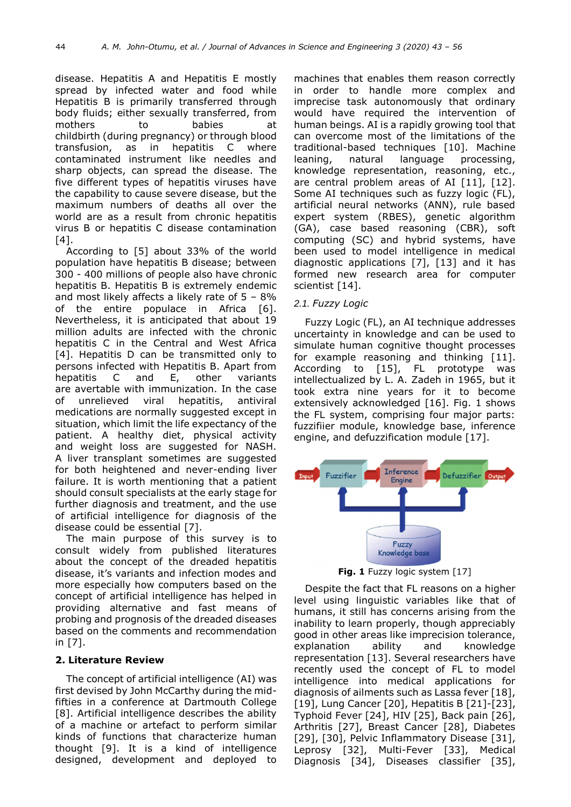disease. Hepatitis A and Hepatitis E mostly spread by infected water and food while Hepatitis B is primarily transferred through body fluids; either sexually transferred, from mothers to babies at childbirth (during pregnancy) or through blood transfusion, as in hepatitis C where contaminated instrument like needles and sharp objects, can spread the disease. The five different types of hepatitis viruses have the capability to cause severe disease, but the maximum numbers of deaths all over the world are as a result from chronic hepatitis virus B or hepatitis C disease contamination [4].

According to [5] about 33% of the world population have hepatitis B disease; between 300 - 400 millions of people also have chronic hepatitis B. Hepatitis B is extremely endemic and most likely affects a likely rate of  $5 - 8\%$ of the entire populace in Africa [6]. Nevertheless, it is anticipated that about 19 million adults are infected with the chronic hepatitis C in the Central and West Africa [4]. Hepatitis D can be transmitted only to persons infected with Hepatitis B. Apart from hepatitis C and E, other variants are avertable with immunization. In the case of unrelieved viral hepatitis, antiviral medications are normally suggested except in situation, which limit the life expectancy of the patient. A healthy diet, physical activity and weight loss are suggested for NASH. A liver transplant sometimes are suggested for both heightened and never-ending liver failure. It is worth mentioning that a patient should consult specialists at the early stage for further diagnosis and treatment, and the use of artificial intelligence for diagnosis of the disease could be essential [7].

The main purpose of this survey is to consult widely from published literatures about the concept of the dreaded hepatitis disease, it's variants and infection modes and more especially how computers based on the concept of artificial intelligence has helped in providing alternative and fast means of probing and prognosis of the dreaded diseases based on the comments and recommendation in [7].

# **2. Literature Review**

The concept of artificial intelligence (AI) was first devised by John McCarthy during the midfifties in a conference at Dartmouth College [8]. Artificial intelligence describes the ability of a machine or artefact to perform similar kinds of functions that characterize human thought [9]. It is a kind of intelligence designed, development and deployed to

machines that enables them reason correctly in order to handle more complex and imprecise task autonomously that ordinary would have required the intervention of human beings. AI is a rapidly growing tool that can overcome most of the limitations of the traditional-based techniques [10]. Machine leaning, natural language processing, knowledge representation, reasoning, etc., are central problem areas of AI [11], [12]. Some AI techniques such as fuzzy logic (FL), artificial neural networks (ANN), rule based expert system (RBES), genetic algorithm (GA), case based reasoning (CBR), soft computing (SC) and hybrid systems, have been used to model intelligence in medical diagnostic applications [7], [13] and it has formed new research area for computer scientist [14].

# *2.1. Fuzzy Logic*

Fuzzy Logic (FL), an AI technique addresses uncertainty in knowledge and can be used to simulate human cognitive thought processes for example reasoning and thinking [11]. According to [15], FL prototype was intellectualized by L. A. Zadeh in 1965, but it took extra nine years for it to become extensively acknowledged [16]. Fig. 1 shows the FL system, comprising four major parts: fuzzifiier module, knowledge base, inference engine, and defuzzification module [17].





Despite the fact that FL reasons on a higher level using linguistic variables like that of humans, it still has concerns arising from the inability to learn properly, though appreciably good in other areas like imprecision tolerance, explanation ability and knowledge representation [13]. Several researchers have recently used the concept of FL to model intelligence into medical applications for diagnosis of ailments such as Lassa fever [18], [19], Lung Cancer [20], Hepatitis B [21]-[23], Typhoid Fever [24], HIV [25], Back pain [26], Arthritis [27], Breast Cancer [28], Diabetes [29], [30], Pelvic Inflammatory Disease [31], Leprosy [32], Multi-Fever [33], Medical Diagnosis [34], Diseases classifier [35],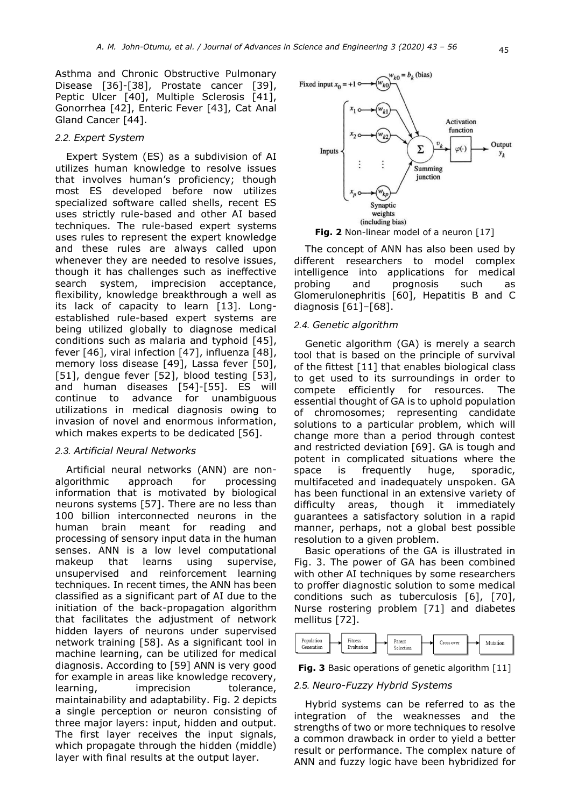Asthma and Chronic Obstructive Pulmonary Disease [36]-[38], Prostate cancer [39], Peptic Ulcer [40], Multiple Sclerosis [41], Gonorrhea [42], Enteric Fever [43], Cat Anal Gland Cancer [44].

#### *2.2. Expert System*

Expert System (ES) as a subdivision of AI utilizes human knowledge to resolve issues that involves human's proficiency; though most ES developed before now utilizes specialized software called shells, recent ES uses strictly rule-based and other AI based techniques. The rule-based expert systems uses rules to represent the expert knowledge and these rules are always called upon whenever they are needed to resolve issues, though it has challenges such as ineffective search system, imprecision acceptance, flexibility, knowledge breakthrough a well as its lack of capacity to learn [13]. Longestablished rule-based expert systems are being utilized globally to diagnose medical conditions such as malaria and typhoid [45], fever [46], viral infection [47], influenza [48], memory loss disease [49], Lassa fever [50], [51], dengue fever [52], blood testing [53], and human diseases [54]-[55]. ES will continue to advance for unambiguous utilizations in medical diagnosis owing to invasion of novel and enormous information, which makes experts to be dedicated [56].

#### *2.3. Artificial Neural Networks*

Artificial neural networks (ANN) are nonalgorithmic approach for processing information that is motivated by biological neurons systems [57]. There are no less than 100 billion interconnected neurons in the human brain meant for reading and processing of sensory input data in the human senses. ANN is a low level computational makeup that learns using supervise, unsupervised and reinforcement learning techniques. In recent times, the ANN has been classified as a significant part of AI due to the initiation of the back-propagation algorithm that facilitates the adjustment of network hidden layers of neurons under supervised network training [58]. As a significant tool in machine learning, can be utilized for medical diagnosis. According to [59] ANN is very good for example in areas like knowledge recovery, learning, imprecision tolerance, maintainability and adaptability. Fig. 2 depicts a single perception or neuron consisting of three major layers: input, hidden and output. The first layer receives the input signals, which propagate through the hidden (middle) layer with final results at the output layer.



**Fig. 2** Non-linear model of a neuron [17]

The concept of ANN has also been used by different researchers to model complex intelligence into applications for medical probing and prognosis such as Glomerulonephritis [60], Hepatitis B and C diagnosis [61]–[68].

## *2.4. Genetic algorithm*

Genetic algorithm (GA) is merely a search tool that is based on the principle of survival of the fittest [11] that enables biological class to get used to its surroundings in order to compete efficiently for resources. The essential thought of GA is to uphold population of chromosomes; representing candidate solutions to a particular problem, which will change more than a period through contest and restricted deviation [69]. GA is tough and potent in complicated situations where the space is frequently huge, sporadic, multifaceted and inadequately unspoken. GA has been functional in an extensive variety of difficulty areas, though it immediately guarantees a satisfactory solution in a rapid manner, perhaps, not a global best possible resolution to a given problem.

Basic operations of the GA is illustrated in Fig. 3. The power of GA has been combined with other AI techniques by some researchers to proffer diagnostic solution to some medical conditions such as tuberculosis [6], [70], Nurse rostering problem [71] and diabetes mellitus [72].





# *2.5. Neuro-Fuzzy Hybrid Systems*

Hybrid systems can be referred to as the integration of the weaknesses and the strengths of two or more techniques to resolve a common drawback in order to yield a better result or performance. The complex nature of ANN and fuzzy logic have been hybridized for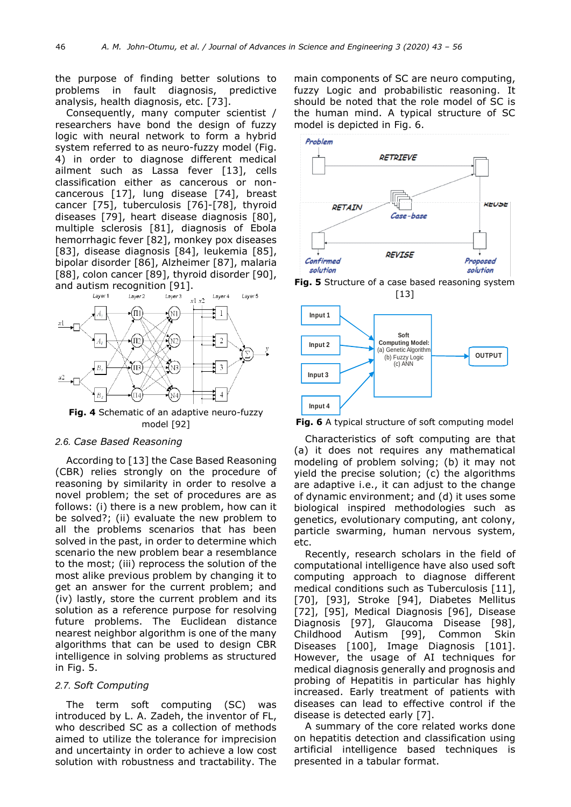the purpose of finding better solutions to problems in fault diagnosis, predictive analysis, health diagnosis, etc. [73].

Consequently, many computer scientist / researchers have bond the design of fuzzy logic with neural network to form a hybrid system referred to as neuro-fuzzy model (Fig. 4) in order to diagnose different medical ailment such as Lassa fever [13], cells classification either as cancerous or noncancerous [17], lung disease [74], breast cancer [75], tuberculosis [76]-[78], thyroid diseases [79], heart disease diagnosis [80], multiple sclerosis [81], diagnosis of Ebola hemorrhagic fever [82], monkey pox diseases [83], disease diagnosis [84], leukemia [85], bipolar disorder [86], Alzheimer [87], malaria [88], colon cancer [89], thyroid disorder [90], and autism recognition [91].



**Fig. 4** Schematic of an adaptive neuro-fuzzy model [92]

#### *2.6. Case Based Reasoning*

According to [13] the Case Based Reasoning (CBR) relies strongly on the procedure of reasoning by similarity in order to resolve a novel problem; the set of procedures are as follows: (i) there is a new problem, how can it be solved?; (ii) evaluate the new problem to all the problems scenarios that has been solved in the past, in order to determine which scenario the new problem bear a resemblance to the most; (iii) reprocess the solution of the most alike previous problem by changing it to get an answer for the current problem; and (iv) lastly, store the current problem and its solution as a reference purpose for resolving future problems. The Euclidean distance nearest neighbor algorithm is one of the many algorithms that can be used to design CBR intelligence in solving problems as structured in Fig. 5.

# *2.7. Soft Computing*

The term soft computing (SC) was introduced by L. A. Zadeh, the inventor of FL, who described SC as a collection of methods aimed to utilize the tolerance for imprecision and uncertainty in order to achieve a low cost solution with robustness and tractability. The

main components of SC are neuro computing, fuzzy Logic and probabilistic reasoning. It should be noted that the role model of SC is the human mind. A typical structure of SC model is depicted in Fig. 6.



**Fig. 5** Structure of a case based reasoning system [13]



**Fig. 6** A typical structure of soft computing model

Characteristics of soft computing are that (a) it does not requires any mathematical modeling of problem solving; (b) it may not yield the precise solution; (c) the algorithms are adaptive i.e., it can adjust to the change of dynamic environment; and (d) it uses some biological inspired methodologies such as genetics, evolutionary computing, ant colony, particle swarming, human nervous system, etc.

Recently, research scholars in the field of computational intelligence have also used soft computing approach to diagnose different medical conditions such as Tuberculosis [11], [70], [93], Stroke [94], Diabetes Mellitus [72], [95], Medical Diagnosis [96], Disease Diagnosis [97], Glaucoma Disease [98], Childhood Autism [99], Common Skin Diseases [100], Image Diagnosis [101]. However, the usage of AI techniques for medical diagnosis generally and prognosis and probing of Hepatitis in particular has highly increased. Early treatment of patients with diseases can lead to effective control if the disease is detected early [7].

A summary of the core related works done on hepatitis detection and classification using artificial intelligence based techniques is presented in a tabular format.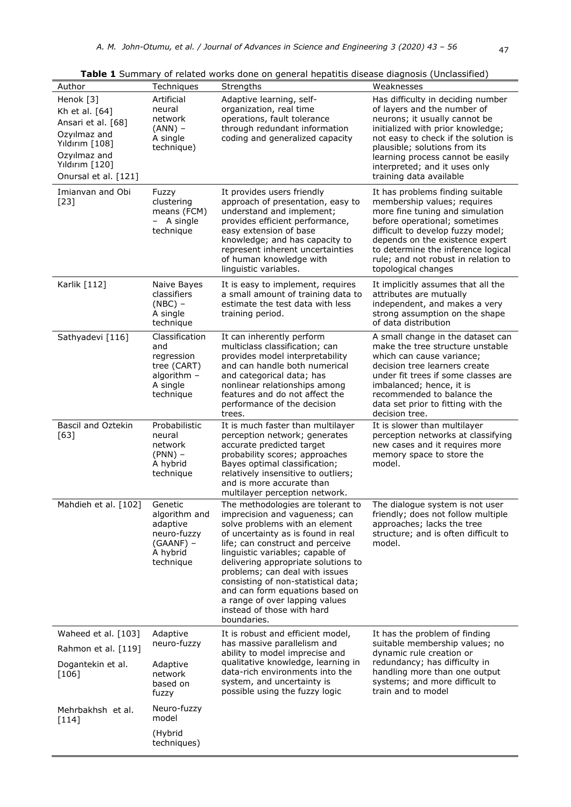| Author                                                                                                                                        | Techniques                                                                                   | Strengths                                                                                                                                                                                                                                                                                                                                                                                                                                             | Weaknesses                                                                                                                                                                                                                                                                                                       |
|-----------------------------------------------------------------------------------------------------------------------------------------------|----------------------------------------------------------------------------------------------|-------------------------------------------------------------------------------------------------------------------------------------------------------------------------------------------------------------------------------------------------------------------------------------------------------------------------------------------------------------------------------------------------------------------------------------------------------|------------------------------------------------------------------------------------------------------------------------------------------------------------------------------------------------------------------------------------------------------------------------------------------------------------------|
| Henok [3]<br>Kh et al. [64]<br>Ansari et al. [68]<br>Ozyılmaz and<br>Yıldırım [108]<br>Ozyılmaz and<br>Yıldırım [120]<br>Onursal et al. [121] | Artificial<br>neural<br>network<br>$(ANN)$ –<br>A single<br>technique)                       | Adaptive learning, self-<br>organization, real time<br>operations, fault tolerance<br>through redundant information<br>coding and generalized capacity                                                                                                                                                                                                                                                                                                | Has difficulty in deciding number<br>of layers and the number of<br>neurons; it usually cannot be<br>initialized with prior knowledge;<br>not easy to check if the solution is<br>plausible; solutions from its<br>learning process cannot be easily<br>interpreted; and it uses only<br>training data available |
| Imianvan and Obi<br>$[23]$                                                                                                                    | Fuzzy<br>clustering<br>means (FCM)<br>$-$ A single<br>technique                              | It provides users friendly<br>approach of presentation, easy to<br>understand and implement;<br>provides efficient performance,<br>easy extension of base<br>knowledge; and has capacity to<br>represent inherent uncertainties<br>of human knowledge with<br>linguistic variables.                                                                                                                                                                   | It has problems finding suitable<br>membership values; requires<br>more fine tuning and simulation<br>before operational; sometimes<br>difficult to develop fuzzy model;<br>depends on the existence expert<br>to determine the inference logical<br>rule; and not robust in relation to<br>topological changes  |
| Karlik [112]                                                                                                                                  | Naive Bayes<br>classifiers<br>$(NBC)$ -<br>A single<br>technique                             | It is easy to implement, requires<br>a small amount of training data to<br>estimate the test data with less<br>training period.                                                                                                                                                                                                                                                                                                                       | It implicitly assumes that all the<br>attributes are mutually<br>independent, and makes a very<br>strong assumption on the shape<br>of data distribution                                                                                                                                                         |
| Sathyadevi [116]                                                                                                                              | Classification<br>and<br>regression<br>tree (CART)<br>algorithm $-$<br>A single<br>technique | It can inherently perform<br>multiclass classification; can<br>provides model interpretability<br>and can handle both numerical<br>and categorical data; has<br>nonlinear relationships among<br>features and do not affect the<br>performance of the decision<br>trees.                                                                                                                                                                              | A small change in the dataset can<br>make the tree structure unstable<br>which can cause variance;<br>decision tree learners create<br>under fit trees if some classes are<br>imbalanced; hence, it is<br>recommended to balance the<br>data set prior to fitting with the<br>decision tree.                     |
| Bascil and Oztekin<br>$[63]$                                                                                                                  | Probabilistic<br>neural<br>network<br>$(PNN)$ –<br>A hybrid<br>technique                     | It is much faster than multilayer<br>perception network; generates<br>accurate predicted target<br>probability scores; approaches<br>Bayes optimal classification;<br>relatively insensitive to outliers;<br>and is more accurate than<br>multilayer perception network.                                                                                                                                                                              | It is slower than multilayer<br>perception networks at classifying<br>new cases and it requires more<br>memory space to store the<br>model.                                                                                                                                                                      |
| Mahdieh et al. [102]                                                                                                                          | Genetic<br>algorithm and<br>adaptive<br>neuro-fuzzy<br>$(GAANF)$ –<br>A hybrid<br>technique  | The methodologies are tolerant to<br>imprecision and vagueness; can<br>solve problems with an element<br>of uncertainty as is found in real<br>life; can construct and perceive<br>linguistic variables; capable of<br>delivering appropriate solutions to<br>problems; can deal with issues<br>consisting of non-statistical data;<br>and can form equations based on<br>a range of over lapping values<br>instead of those with hard<br>boundaries. | The dialogue system is not user<br>friendly; does not follow multiple<br>approaches; lacks the tree<br>structure; and is often difficult to<br>model.                                                                                                                                                            |
| Waheed et al. [103]                                                                                                                           | Adaptive                                                                                     | It is robust and efficient model,                                                                                                                                                                                                                                                                                                                                                                                                                     | It has the problem of finding                                                                                                                                                                                                                                                                                    |
| Rahmon et al. [119]                                                                                                                           | neuro-fuzzy                                                                                  | has massive parallelism and<br>ability to model imprecise and                                                                                                                                                                                                                                                                                                                                                                                         | suitable membership values; no<br>dynamic rule creation or                                                                                                                                                                                                                                                       |
| Dogantekin et al.<br>$[106]$                                                                                                                  | Adaptive<br>network<br>based on<br>fuzzy                                                     | qualitative knowledge, learning in<br>data-rich environments into the<br>system, and uncertainty is<br>possible using the fuzzy logic                                                                                                                                                                                                                                                                                                                 | redundancy; has difficulty in<br>handling more than one output<br>systems; and more difficult to<br>train and to model                                                                                                                                                                                           |
| Mehrbakhsh et al.<br>$[114]$                                                                                                                  | Neuro-fuzzy<br>model                                                                         |                                                                                                                                                                                                                                                                                                                                                                                                                                                       |                                                                                                                                                                                                                                                                                                                  |
|                                                                                                                                               | (Hybrid<br>techniques)                                                                       |                                                                                                                                                                                                                                                                                                                                                                                                                                                       |                                                                                                                                                                                                                                                                                                                  |

**Table 1** Summary of related works done on general hepatitis disease diagnosis (Unclassified)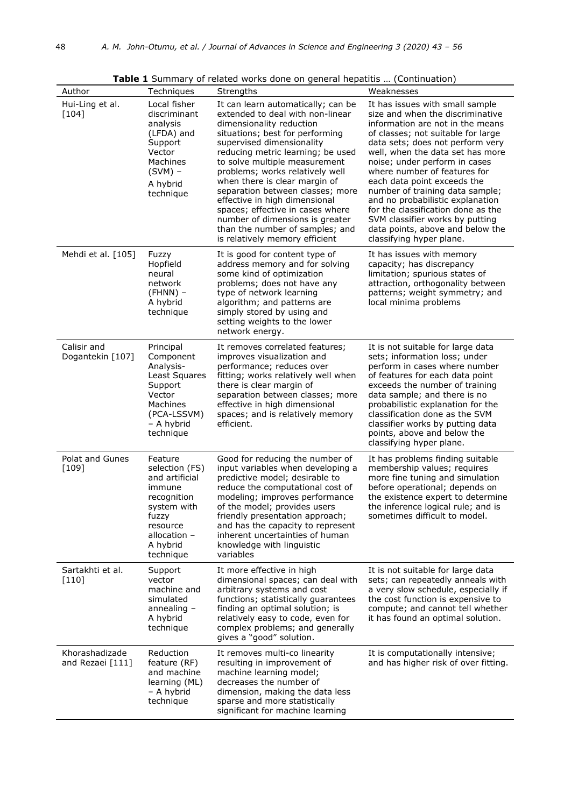| Author                             | Techniques                                                                                                                                        | <b>Rable 1</b> Jahrhugi y of related works done on general hepatitis  (Continuation,<br>Strengths                                                                                                                                                                                                                                                                                                                                                                                                                             | Weaknesses                                                                                                                                                                                                                                                                                                                                                                                                                                                                                                                            |
|------------------------------------|---------------------------------------------------------------------------------------------------------------------------------------------------|-------------------------------------------------------------------------------------------------------------------------------------------------------------------------------------------------------------------------------------------------------------------------------------------------------------------------------------------------------------------------------------------------------------------------------------------------------------------------------------------------------------------------------|---------------------------------------------------------------------------------------------------------------------------------------------------------------------------------------------------------------------------------------------------------------------------------------------------------------------------------------------------------------------------------------------------------------------------------------------------------------------------------------------------------------------------------------|
| Hui-Ling et al.<br>$[104]$         | Local fisher<br>discriminant<br>analysis<br>(LFDA) and<br>Support<br>Vector<br>Machines<br>$(SVM)$ –<br>A hybrid<br>technique                     | It can learn automatically; can be<br>extended to deal with non-linear<br>dimensionality reduction<br>situations; best for performing<br>supervised dimensionality<br>reducing metric learning; be used<br>to solve multiple measurement<br>problems; works relatively well<br>when there is clear margin of<br>separation between classes; more<br>effective in high dimensional<br>spaces; effective in cases where<br>number of dimensions is greater<br>than the number of samples; and<br>is relatively memory efficient | It has issues with small sample<br>size and when the discriminative<br>information are not in the means<br>of classes; not suitable for large<br>data sets; does not perform very<br>well, when the data set has more<br>noise; under perform in cases<br>where number of features for<br>each data point exceeds the<br>number of training data sample;<br>and no probabilistic explanation<br>for the classification done as the<br>SVM classifier works by putting<br>data points, above and below the<br>classifying hyper plane. |
| Mehdi et al. [105]                 | Fuzzy<br>Hopfield<br>neural<br>network<br>$(FHNN)$ -<br>A hybrid<br>technique                                                                     | It is good for content type of<br>address memory and for solving<br>some kind of optimization<br>problems; does not have any<br>type of network learning<br>algorithm; and patterns are<br>simply stored by using and<br>setting weights to the lower<br>network energy.                                                                                                                                                                                                                                                      | It has issues with memory<br>capacity; has discrepancy<br>limitation; spurious states of<br>attraction, orthogonality between<br>patterns; weight symmetry; and<br>local minima problems                                                                                                                                                                                                                                                                                                                                              |
| Calisir and<br>Dogantekin [107]    | Principal<br>Component<br>Analysis-<br>Least Squares<br>Support<br>Vector<br>Machines<br>(PCA-LSSVM)<br>– A hybrid<br>technique                   | It removes correlated features;<br>improves visualization and<br>performance; reduces over<br>fitting; works relatively well when<br>there is clear margin of<br>separation between classes; more<br>effective in high dimensional<br>spaces; and is relatively memory<br>efficient.                                                                                                                                                                                                                                          | It is not suitable for large data<br>sets; information loss; under<br>perform in cases where number<br>of features for each data point<br>exceeds the number of training<br>data sample; and there is no<br>probabilistic explanation for the<br>classification done as the SVM<br>classifier works by putting data<br>points, above and below the<br>classifying hyper plane.                                                                                                                                                        |
| Polat and Gunes<br>$[109]$         | Feature<br>selection (FS)<br>and artificial<br>immune<br>recognition<br>system with<br>fuzzy<br>resource<br>allocation -<br>A hybrid<br>technique | Good for reducing the number of<br>input variables when developing a<br>predictive model; desirable to<br>reduce the computational cost of<br>modeling; improves performance<br>of the model; provides users<br>friendly presentation approach;<br>and has the capacity to represent<br>inherent uncertainties of human<br>knowledge with linguistic<br>variables                                                                                                                                                             | It has problems finding suitable<br>membership values; requires<br>more fine tuning and simulation<br>before operational; depends on<br>the existence expert to determine<br>the inference logical rule; and is<br>sometimes difficult to model.                                                                                                                                                                                                                                                                                      |
| Sartakhti et al.<br>$[110]$        | Support<br>vector<br>machine and<br>simulated<br>annealing $-$<br>A hybrid<br>technique                                                           | It more effective in high<br>dimensional spaces; can deal with<br>arbitrary systems and cost<br>functions; statistically guarantees<br>finding an optimal solution; is<br>relatively easy to code, even for<br>complex problems; and generally<br>gives a "good" solution.                                                                                                                                                                                                                                                    | It is not suitable for large data<br>sets; can repeatedly anneals with<br>a very slow schedule, especially if<br>the cost function is expensive to<br>compute; and cannot tell whether<br>it has found an optimal solution.                                                                                                                                                                                                                                                                                                           |
| Khorashadizade<br>and Rezaei [111] | Reduction<br>feature (RF)<br>and machine<br>learning (ML)<br>- A hybrid<br>technique                                                              | It removes multi-co linearity<br>resulting in improvement of<br>machine learning model;<br>decreases the number of<br>dimension, making the data less<br>sparse and more statistically<br>significant for machine learning                                                                                                                                                                                                                                                                                                    | It is computationally intensive;<br>and has higher risk of over fitting.                                                                                                                                                                                                                                                                                                                                                                                                                                                              |

**Table 1** Summary of related works done on general hepatitis … (Continuation)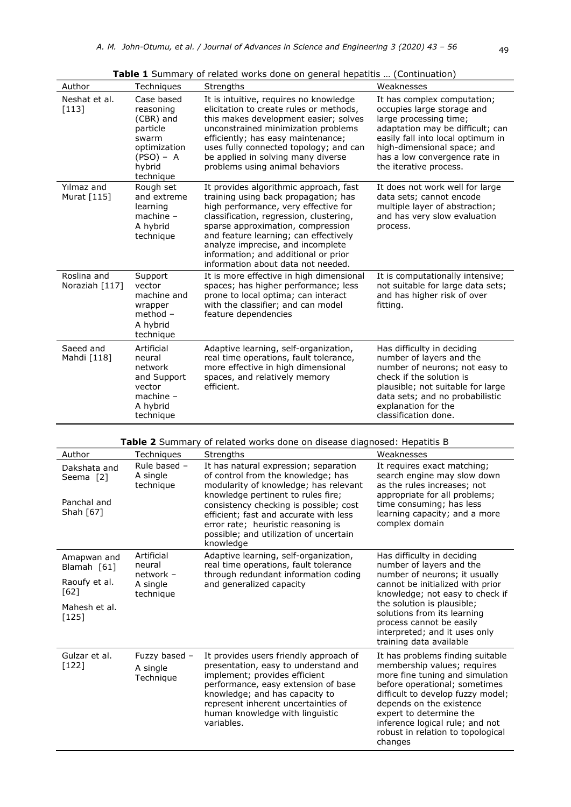| Author                                                                  | Techniques                                                                                                      | Strengths                                                                                                                                                                                                                                                                                                                                                          | Weaknesses                                                                                                                                                                                                                                             |
|-------------------------------------------------------------------------|-----------------------------------------------------------------------------------------------------------------|--------------------------------------------------------------------------------------------------------------------------------------------------------------------------------------------------------------------------------------------------------------------------------------------------------------------------------------------------------------------|--------------------------------------------------------------------------------------------------------------------------------------------------------------------------------------------------------------------------------------------------------|
| Neshat et al.<br>$[113]$                                                | Case based<br>reasoning<br>(CBR) and<br>particle<br>swarm<br>optimization<br>$(PSO) - A$<br>hybrid<br>technique | It is intuitive, requires no knowledge<br>elicitation to create rules or methods,<br>this makes development easier; solves<br>unconstrained minimization problems<br>efficiently; has easy maintenance;<br>uses fully connected topology; and can<br>be applied in solving many diverse<br>problems using animal behaviors                                         | It has complex computation;<br>occupies large storage and<br>large processing time;<br>adaptation may be difficult; can<br>easily fall into local optimum in<br>high-dimensional space; and<br>has a low convergence rate in<br>the iterative process. |
| Yılmaz and<br>Murat [115]                                               | Rough set<br>and extreme<br>learning<br>$machine -$<br>A hybrid<br>technique                                    | It provides algorithmic approach, fast<br>training using back propagation; has<br>high performance, very effective for<br>classification, regression, clustering,<br>sparse approximation, compression<br>and feature learning; can effectively<br>analyze imprecise, and incomplete<br>information; and additional or prior<br>information about data not needed. | It does not work well for large<br>data sets; cannot encode<br>multiple layer of abstraction;<br>and has very slow evaluation<br>process.                                                                                                              |
| Roslina and<br>Noraziah [117]                                           | Support<br>vector<br>machine and<br>wrapper<br>method $-$<br>A hybrid<br>technique                              | It is more effective in high dimensional<br>spaces; has higher performance; less<br>prone to local optima; can interact<br>with the classifier; and can model<br>feature dependencies                                                                                                                                                                              | It is computationally intensive;<br>not suitable for large data sets;<br>and has higher risk of over<br>fitting.                                                                                                                                       |
| Saeed and<br>Mahdi [118]                                                | Artificial<br>neural<br>network<br>and Support<br>vector<br>$machine -$<br>A hybrid<br>technique                | Adaptive learning, self-organization,<br>real time operations, fault tolerance,<br>more effective in high dimensional<br>spaces, and relatively memory<br>efficient.                                                                                                                                                                                               | Has difficulty in deciding<br>number of layers and the<br>number of neurons; not easy to<br>check if the solution is<br>plausible; not suitable for large<br>data sets; and no probabilistic<br>explanation for the<br>classification done.            |
| Table 2 Summary of related works done on disease diagnosed: Hepatitis B |                                                                                                                 |                                                                                                                                                                                                                                                                                                                                                                    |                                                                                                                                                                                                                                                        |

**Table 1** Summary of related works done on general hepatitis … (Continuation)

| $\frac{1}{2}$ . The same set of the contract we have the contracted of the contracted by $\frac{1}{2}$ |                                        |                                                                                                                                                                                                                                                                                                                                             |                                                                                                                                                                                                                                                                                                                    |
|--------------------------------------------------------------------------------------------------------|----------------------------------------|---------------------------------------------------------------------------------------------------------------------------------------------------------------------------------------------------------------------------------------------------------------------------------------------------------------------------------------------|--------------------------------------------------------------------------------------------------------------------------------------------------------------------------------------------------------------------------------------------------------------------------------------------------------------------|
| Author                                                                                                 | Techniques                             | <b>Strengths</b>                                                                                                                                                                                                                                                                                                                            | Weaknesses                                                                                                                                                                                                                                                                                                         |
| Dakshata and<br>Seema [2]<br>Panchal and<br>Shah [67]                                                  | Rule based -<br>A single<br>technique  | It has natural expression; separation<br>of control from the knowledge; has<br>modularity of knowledge; has relevant<br>knowledge pertinent to rules fire;<br>consistency checking is possible; cost<br>efficient; fast and accurate with less<br>error rate; heuristic reasoning is<br>possible; and utilization of uncertain<br>knowledge | It requires exact matching;<br>search engine may slow down<br>as the rules increases; not<br>appropriate for all problems;<br>time consuming; has less<br>learning capacity; and a more<br>complex domain                                                                                                          |
| Amapwan and<br>Blamah [61]                                                                             | Artificial<br>neural<br>network -      | Adaptive learning, self-organization,<br>real time operations, fault tolerance                                                                                                                                                                                                                                                              | Has difficulty in deciding<br>number of layers and the                                                                                                                                                                                                                                                             |
| Raoufy et al.<br>[62]                                                                                  | A single<br>technique                  | through redundant information coding<br>and generalized capacity                                                                                                                                                                                                                                                                            | number of neurons; it usually<br>cannot be initialized with prior<br>knowledge; not easy to check if                                                                                                                                                                                                               |
| Mahesh et al.<br>$[125]$                                                                               |                                        |                                                                                                                                                                                                                                                                                                                                             | the solution is plausible;<br>solutions from its learning<br>process cannot be easily<br>interpreted; and it uses only<br>training data available                                                                                                                                                                  |
| Gulzar et al.<br>$[122]$                                                                               | Fuzzy based -<br>A single<br>Technique | It provides users friendly approach of<br>presentation, easy to understand and<br>implement; provides efficient<br>performance, easy extension of base<br>knowledge; and has capacity to<br>represent inherent uncertainties of<br>human knowledge with linguistic<br>variables.                                                            | It has problems finding suitable<br>membership values; requires<br>more fine tuning and simulation<br>before operational; sometimes<br>difficult to develop fuzzy model;<br>depends on the existence<br>expert to determine the<br>inference logical rule; and not<br>robust in relation to topological<br>changes |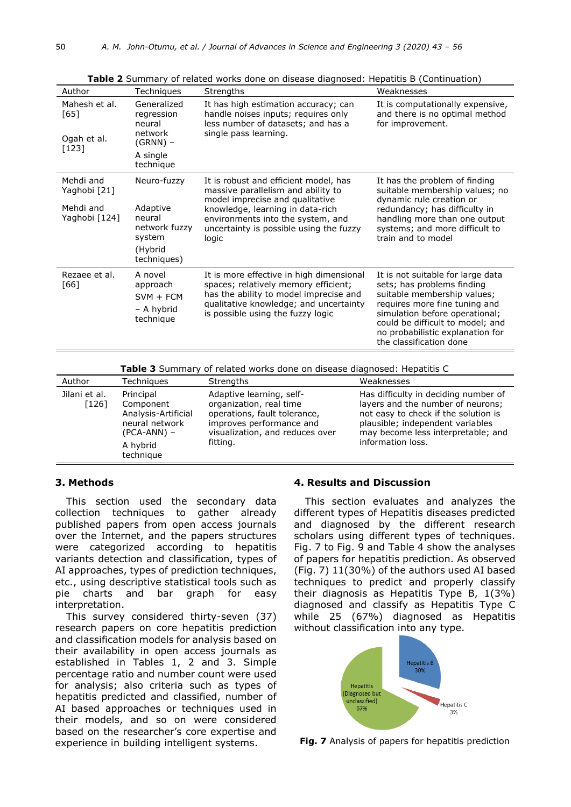| Author                                                  | Techniques                                                                             | Strengths                                                                                                                                                                                                                                   | Weaknesses                                                                                                                                                                                                                                                           |
|---------------------------------------------------------|----------------------------------------------------------------------------------------|---------------------------------------------------------------------------------------------------------------------------------------------------------------------------------------------------------------------------------------------|----------------------------------------------------------------------------------------------------------------------------------------------------------------------------------------------------------------------------------------------------------------------|
| Mahesh et al.<br>[65]<br>Ogah et al.<br>$[123]$         | Generalized<br>regression<br>neural<br>network<br>$(GRNN)$ –<br>A single<br>technique  | It has high estimation accuracy; can<br>handle noises inputs; requires only<br>less number of datasets; and has a<br>single pass learning.                                                                                                  | It is computationally expensive,<br>and there is no optimal method<br>for improvement.                                                                                                                                                                               |
| Mehdi and<br>Yaghobi [21]<br>Mehdi and<br>Yaghobi [124] | Neuro-fuzzy<br>Adaptive<br>neural<br>network fuzzy<br>system<br>(Hybrid<br>techniques) | It is robust and efficient model, has<br>massive parallelism and ability to<br>model imprecise and qualitative<br>knowledge, learning in data-rich<br>environments into the system, and<br>uncertainty is possible using the fuzzy<br>logic | It has the problem of finding<br>suitable membership values; no<br>dynamic rule creation or<br>redundancy; has difficulty in<br>handling more than one output<br>systems; and more difficult to<br>train and to model                                                |
| Rezaee et al.<br>[66]                                   | A novel<br>approach<br>$SVM + FCM$<br>- A hybrid<br>technique                          | It is more effective in high dimensional<br>spaces; relatively memory efficient;<br>has the ability to model imprecise and<br>qualitative knowledge; and uncertainty<br>is possible using the fuzzy logic                                   | It is not suitable for large data<br>sets; has problems finding<br>suitable membership values;<br>requires more fine tuning and<br>simulation before operational;<br>could be difficult to model; and<br>no probabilistic explanation for<br>the classification done |

**Table 2** Summary of related works done on disease diagnosed: Hepatitis B (Continuation)

**Table 3** Summary of related works done on disease diagnosed: Hepatitis C

| Author                   | <b>Techniques</b>                                                                                         | Strengths                                                                                                                                                      | Weaknesses                                                                                                                                                                                                       |
|--------------------------|-----------------------------------------------------------------------------------------------------------|----------------------------------------------------------------------------------------------------------------------------------------------------------------|------------------------------------------------------------------------------------------------------------------------------------------------------------------------------------------------------------------|
| Jilani et al.<br>$[126]$ | Principal<br>Component<br>Analysis-Artificial<br>neural network<br>$(PCA-ANN)$ –<br>A hybrid<br>technique | Adaptive learning, self-<br>organization, real time<br>operations, fault tolerance,<br>improves performance and<br>visualization, and reduces over<br>fitting. | Has difficulty in deciding number of<br>layers and the number of neurons;<br>not easy to check if the solution is<br>plausible; independent variables<br>may become less interpretable; and<br>information loss. |

## **3. Methods**

This section used the secondary data collection techniques to gather already published papers from open access journals over the Internet, and the papers structures were categorized according to hepatitis variants detection and classification, types of AI approaches, types of prediction techniques, etc., using descriptive statistical tools such as pie charts and bar graph for easy interpretation.

This survey considered thirty-seven (37) research papers on core hepatitis prediction and classification models for analysis based on their availability in open access journals as established in Tables 1, 2 and 3. Simple percentage ratio and number count were used for analysis; also criteria such as types of hepatitis predicted and classified, number of AI based approaches or techniques used in their models, and so on were considered based on the researcher's core expertise and experience in building intelligent systems.

## **4. Results and Discussion**

This section evaluates and analyzes the different types of Hepatitis diseases predicted and diagnosed by the different research scholars using different types of techniques. Fig. 7 to Fig. 9 and Table 4 show the analyses of papers for hepatitis prediction. As observed (Fig. 7) 11(30%) of the authors used AI based techniques to predict and properly classify their diagnosis as Hepatitis Type B, 1(3%) diagnosed and classify as Hepatitis Type C while 25 (67%) diagnosed as Hepatitis without classification into any type.



**Fig. 7** Analysis of papers for hepatitis prediction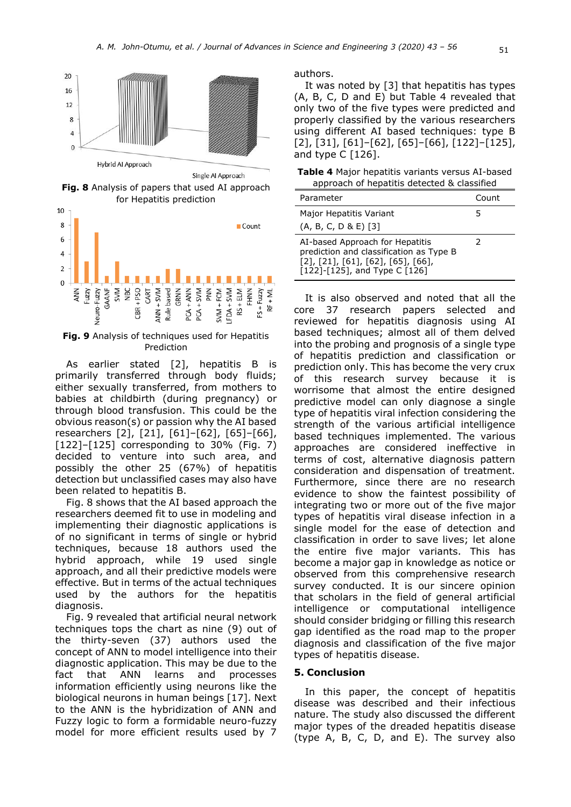

Single Al Approach

**Fig. 8** Analysis of papers that used AI approach for Hepatitis prediction



**Fig. 9** Analysis of techniques used for Hepatitis Prediction

As earlier stated [2], hepatitis B is primarily transferred through body fluids; either sexually transferred, from mothers to babies at childbirth (during pregnancy) or through blood transfusion. This could be the obvious reason(s) or passion why the AI based researchers [2], [21], [61]–[62], [65]–[66], [122]–[125] corresponding to 30% (Fig. 7) decided to venture into such area, and possibly the other 25 (67%) of hepatitis detection but unclassified cases may also have been related to hepatitis B.

Fig. 8 shows that the AI based approach the researchers deemed fit to use in modeling and implementing their diagnostic applications is of no significant in terms of single or hybrid techniques, because 18 authors used the hybrid approach, while 19 used single approach, and all their predictive models were effective. But in terms of the actual techniques used by the authors for the hepatitis diagnosis.

Fig. 9 revealed that artificial neural network techniques tops the chart as nine (9) out of the thirty-seven (37) authors used the concept of ANN to model intelligence into their diagnostic application. This may be due to the fact that ANN learns and processes information efficiently using neurons like the biological neurons in human beings [17]. Next to the ANN is the hybridization of ANN and Fuzzy logic to form a formidable neuro-fuzzy model for more efficient results used by 7

authors.

It was noted by [3] that hepatitis has types (A, B, C, D and E) but Table 4 revealed that only two of the five types were predicted and properly classified by the various researchers using different AI based techniques: type B [2], [31], [61]–[62], [65]–[66], [122]–[125], and type C [126].

**Table 4** Major hepatitis variants versus AI-based approach of hepatitis detected & classified

| Parameter                                                                                                                                                                    | Count |
|------------------------------------------------------------------------------------------------------------------------------------------------------------------------------|-------|
| Major Hepatitis Variant<br>$(A, B, C, D & E)$ [3]                                                                                                                            | 5     |
| AI-based Approach for Hepatitis<br>prediction and classification as Type B<br>$[2]$ , $[21]$ , $[61]$ , $[62]$ , $[65]$ , $[66]$ ,<br>$[122]$ - $[125]$ , and Type C $[126]$ | 2     |

It is also observed and noted that all the core 37 research papers selected and reviewed for hepatitis diagnosis using AI based techniques; almost all of them delved into the probing and prognosis of a single type of hepatitis prediction and classification or prediction only. This has become the very crux of this research survey because it is worrisome that almost the entire designed predictive model can only diagnose a single type of hepatitis viral infection considering the strength of the various artificial intelligence based techniques implemented. The various approaches are considered ineffective in terms of cost, alternative diagnosis pattern consideration and dispensation of treatment. Furthermore, since there are no research evidence to show the faintest possibility of integrating two or more out of the five major types of hepatitis viral disease infection in a single model for the ease of detection and classification in order to save lives; let alone the entire five major variants. This has become a major gap in knowledge as notice or observed from this comprehensive research survey conducted. It is our sincere opinion that scholars in the field of general artificial intelligence or computational intelligence should consider bridging or filling this research gap identified as the road map to the proper diagnosis and classification of the five major types of hepatitis disease.

#### **5. Conclusion**

In this paper, the concept of hepatitis disease was described and their infectious nature. The study also discussed the different major types of the dreaded hepatitis disease (type A, B, C, D, and E). The survey also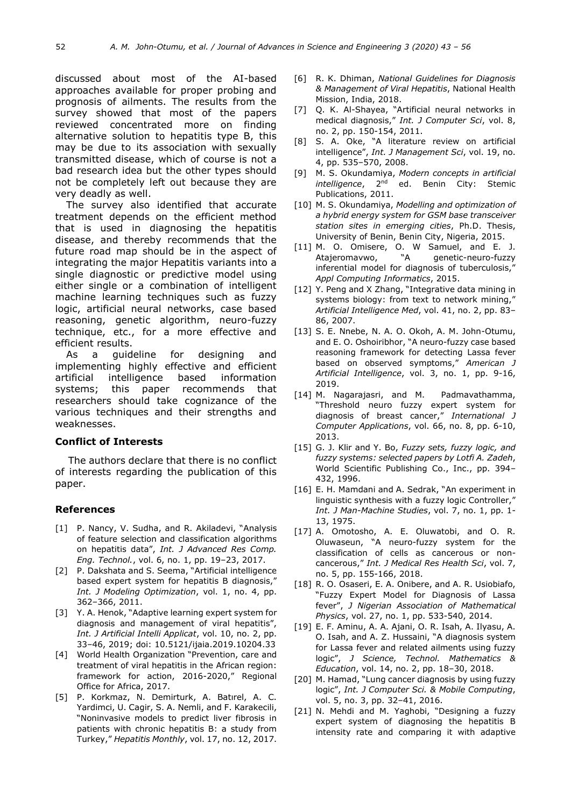discussed about most of the AI-based approaches available for proper probing and prognosis of ailments. The results from the survey showed that most of the papers reviewed concentrated more on finding alternative solution to hepatitis type B, this may be due to its association with sexually transmitted disease, which of course is not a bad research idea but the other types should not be completely left out because they are very deadly as well.

The survey also identified that accurate treatment depends on the efficient method that is used in diagnosing the hepatitis disease, and thereby recommends that the future road map should be in the aspect of integrating the major Hepatitis variants into a single diagnostic or predictive model using either single or a combination of intelligent machine learning techniques such as fuzzy logic, artificial neural networks, case based reasoning, genetic algorithm, neuro-fuzzy technique, etc., for a more effective and efficient results.

As a guideline for designing and implementing highly effective and efficient artificial intelligence based information systems; this paper recommends that researchers should take cognizance of the various techniques and their strengths and weaknesses.

# **Conflict of Interests**

The authors declare that there is no conflict of interests regarding the publication of this paper.

#### **References**

- [1] P. Nancy, V. Sudha, and R. Akiladevi, "Analysis of feature selection and classification algorithms on hepatitis data", *Int. J Advanced Res Comp. Eng. Technol.*, vol. 6, no. 1, pp. 19–23, 2017.
- [2] P. Dakshata and S. Seema, "Artificial intelligence based expert system for hepatitis B diagnosis," *Int. J Modeling Optimization*, vol. 1, no. 4, pp. 362–366, 2011.
- [3] Y. A. Henok, "Adaptive learning expert system for diagnosis and management of viral hepatitis", *Int. J Artificial Intelli Applicat*, vol. 10, no. 2, pp. 33–46, 2019; doi: 10.5121/ijaia.2019.10204.33
- [4] World Health Organization "Prevention, care and treatment of viral hepatitis in the African region: framework for action, 2016-2020," Regional Office for Africa, 2017.
- [5] P. Korkmaz, N. Demirturk, A. Batırel, A. C. Yardimci, U. Cagir, S. A. Nemli, and F. Karakecili, "Noninvasive models to predict liver fibrosis in patients with chronic hepatitis B: a study from Turkey," *Hepatitis Monthly*, vol. 17, no. 12, 2017.
- [6] R. K. Dhiman, *National Guidelines for Diagnosis & Management of Viral Hepatitis*, National Health Mission, India, 2018.
- [7] Q. K. Al-Shayea, "Artificial neural networks in medical diagnosis," *Int. J Computer Sci*, vol. 8, no. 2, pp. 150-154, 2011.
- [8] S. A. Oke, "A literature review on artificial intelligence", *Int. J Management Sci*, vol. 19, no. 4, pp. 535–570, 2008.
- [9] M. S. Okundamiya, *Modern concepts in artificial intelligence*, 2<sup>nd</sup> ed. Benin City: Stemic Publications, 2011.
- [10] M. S. Okundamiya, *Modelling and optimization of a hybrid energy system for GSM base transceiver station sites in emerging cities*, Ph.D. Thesis, University of Benin, Benin City, Nigeria, 2015.
- [11] M. O. Omisere, O. W Samuel, and E. J. Atajeromavwo, "A genetic-neuro-fuzzy inferential model for diagnosis of tuberculosis, *Appl Computing Informatics*, 2015.
- [12] Y. Peng and X Zhang, "Integrative data mining in systems biology: from text to network mining," *Artificial Intelligence Med*, vol. 41, no. 2, pp. 83– 86, 2007.
- [13] S. E. Nnebe, N. A. O. Okoh, A. M. John-Otumu, and E. O. Oshoiribhor, "A neuro-fuzzy case based reasoning framework for detecting Lassa fever based on observed symptoms," *American J Artificial Intelligence*, vol. 3, no. 1, pp. 9-16, 2019.
- [14] M. Nagarajasri, and M. Padmavathamma, "Threshold neuro fuzzy expert system for diagnosis of breast cancer," *International J Computer Applications*, vol. 66, no. 8, pp. 6-10, 2013.
- [15] G. J. Klir and Y. Bo, *Fuzzy sets, fuzzy logic, and fuzzy systems: selected papers by Lotfi A. Zadeh*, World Scientific Publishing Co., Inc., pp. 394– 432, 1996.
- [16] E. H. Mamdani and A. Sedrak, "An experiment in linguistic synthesis with a fuzzy logic Controller," *Int. J Man-Machine Studies*, vol. 7, no. 1, pp. 1- 13, 1975.
- [17] A. Omotosho, A. E. Oluwatobi, and O. R. Oluwaseun, "A neuro-fuzzy system for the classification of cells as cancerous or noncancerous," *Int. J Medical Res Health Sci*, vol. 7, no. 5, pp. 155-166, 2018.
- [18] R. O. Osaseri, E. A. Onibere, and A. R. Usiobiafo, "Fuzzy Expert Model for Diagnosis of Lassa fever", *J Nigerian Association of Mathematical Physics*, vol. 27, no. 1, pp. 533-540, 2014.
- [19] E. F. Aminu, A. A. Ajani, O. R. Isah, A. Ilyasu, A. O. Isah, and A. Z. Hussaini, "A diagnosis system for Lassa fever and related ailments using fuzzy logic", *J Science, Technol. Mathematics & Education*, vol. 14, no. 2, pp. 18–30, 2018.
- [20] M. Hamad, "Lung cancer diagnosis by using fuzzy logic", *Int. J Computer Sci. & Mobile Computing*, vol. 5, no. 3, pp. 32–41, 2016.
- [21] N. Mehdi and M. Yaghobi, "Designing a fuzzy expert system of diagnosing the hepatitis B intensity rate and comparing it with adaptive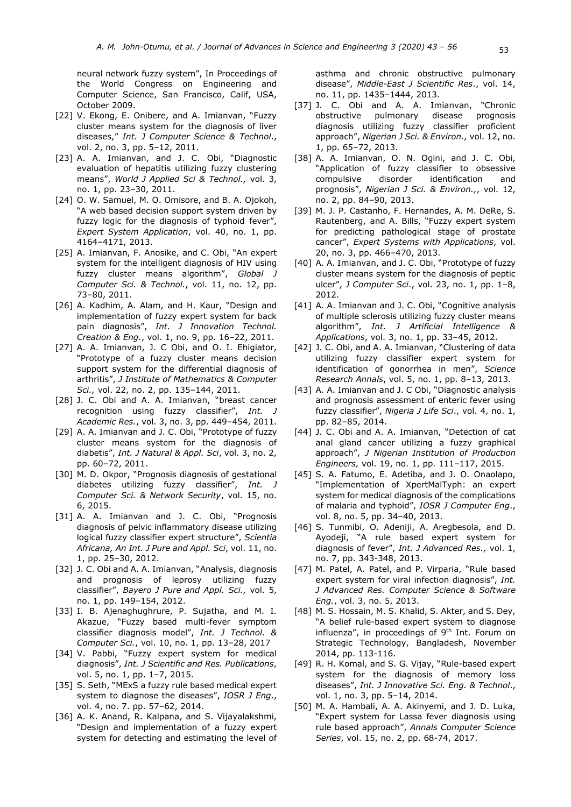neural network fuzzy system", In Proceedings of the World Congress on Engineering and Computer Science, San Francisco, Calif, USA, October 2009.

- [22] V. Ekong, E. Onibere, and A. Imianvan, "Fuzzy cluster means system for the diagnosis of liver diseases," *Int. J Computer Science & Technol*., vol. 2, no. 3, pp. 5–12, 2011.
- [23] A. A. Imianvan, and J. C. Obi, "Diagnostic evaluation of hepatitis utilizing fuzzy clustering means", *World J Applied Sci & Technol.,* vol. 3, no. 1, pp. 23–30, 2011.
- [24] O. W. Samuel, M. O. Omisore, and B. A. Ojokoh, "A web based decision support system driven by fuzzy logic for the diagnosis of typhoid fever", *Expert System Application*, vol. 40, no. 1, pp. 4164–4171, 2013.
- [25] A. Imianvan, F. Anosike, and C. Obi, "An expert system for the intelligent diagnosis of HIV using fuzzy cluster means algorithm", *Global J Computer Sci. & Technol.*, vol. 11, no. 12, pp. 73–80, 2011.
- [26] A. Kadhim, A. Alam, and H. Kaur, "Design and implementation of fuzzy expert system for back pain diagnosis", *Int. J Innovation Technol. Creation & Eng*., vol. 1, no. 9, pp. 16–22, 2011.
- [27] A. A. Imianvan, J. C Obi, and O. I. Ehigiator, "Prototype of a fuzzy cluster means decision support system for the differential diagnosis of arthritis", *J Institute of Mathematics & Computer Sci.,* vol. 22, no. 2, pp. 135–144, 2011.
- [28] J. C. Obi and A. A. Imianvan, "breast cancer recognition using fuzzy classifier", *Int. J Academic Res.*, vol. 3, no. 3, pp. 449–454, 2011.
- [29] A. A. Imianvan and J. C. Obi, "Prototype of fuzzy cluster means system for the diagnosis of diabetis", *Int. J Natural & Appl. Sci*, vol. 3, no. 2, pp. 60–72, 2011.
- [30] M. D. Okpor, "Prognosis diagnosis of gestational diabetes utilizing fuzzy classifier", *Int. J Computer Sci. & Network Security*, vol. 15, no. 6, 2015.
- [31] A. A. Imianvan and J. C. Obi, "Prognosis diagnosis of pelvic inflammatory disease utilizing logical fuzzy classifier expert structure", *Scientia Africana, An Int. J Pure and Appl. Sci*, vol. 11, no. 1, pp. 25–30, 2012.
- [32] J. C. Obi and A. A. Imianvan, "Analysis, diagnosis and prognosis of leprosy utilizing fuzzy classifier", *Bayero J Pure and Appl. Sci.,* vol. 5, no. 1, pp. 149–154, 2012.
- [33] I. B. Ajenaghughrure, P. Sujatha, and M. I. Akazue, "Fuzzy based multi-fever symptom classifier diagnosis model", *Int. J Technol. & Computer Sci.*, vol. 10, no. 1, pp. 13–28, 2017
- [34] V. Pabbi, "Fuzzy expert system for medical diagnosis", *Int. J Scientific and Res. Publications*, vol. 5, no. 1, pp. 1-7, 2015.
- [35] S. Seth, "MExS a fuzzy rule based medical expert system to diagnose the diseases", *IOSR J Eng*., vol. 4, no. 7. pp. 57–62, 2014.
- [36] A. K. Anand, R. Kalpana, and S. Vijayalakshmi, "Design and implementation of a fuzzy expert system for detecting and estimating the level of

asthma and chronic obstructive pulmonary disease", *Middle-East J Scientific Res*., vol. 14, no. 11, pp. 1435–1444, 2013.

- [37] J. C. Obi and A. A. Imianyan, "Chronic obstructive pulmonary disease prognosis diagnosis utilizing fuzzy classifier proficient approach", *Nigerian J Sci. & Environ.,* vol. 12, no. 1, pp. 65–72, 2013.
- [38] A. A. Imianvan, O. N. Ogini, and J. C. Obi, "Application of fuzzy classifier to obsessive compulsive disorder identification and prognosis", *Nigerian J Sci. & Environ.,*, vol. 12, no. 2, pp. 84–90, 2013.
- [39] M. J. P. Castanho, F. Hernandes, A. M. DeRe, S. Rautenberg, and A. Bills, "Fuzzy expert system for predicting pathological stage of prostate cancer", *Expert Systems with Applications*, vol. 20, no. 3, pp. 466–470, 2013.
- [40] A. A. Imianvan, and J. C. Obi, "Prototype of fuzzy cluster means system for the diagnosis of peptic ulcer", *J Computer Sci*., vol. 23, no. 1, pp. 1–8, 2012.
- [41] A. A. Imianvan and J. C. Obi, "Cognitive analysis of multiple sclerosis utilizing fuzzy cluster means algorithm", *Int. J Artificial Intelligence & Applications*, vol. 3, no. 1, pp. 33–45, 2012.
- [42] J. C. Obi, and A. A. Imianvan, "Clustering of data utilizing fuzzy classifier expert system for identification of gonorrhea in men", *Science Research Annals*, vol. 5, no. 1, pp. 8–13, 2013.
- [43] A. A. Imianvan and J. C Obi, "Diagnostic analysis and prognosis assessment of enteric fever using fuzzy classifier", *Nigeria J Life Sci*., vol. 4, no. 1, pp. 82–85, 2014.
- [44] J. C. Obi and A. A. Imianvan, "Detection of cat anal gland cancer utilizing a fuzzy graphical approach", *J Nigerian Institution of Production Engineers,* vol. 19, no. 1, pp. 111–117, 2015.
- [45] S. A. Fatumo, E. Adetiba, and J. O. Onaolapo, "Implementation of XpertMalTyph: an expert system for medical diagnosis of the complications of malaria and typhoid", *IOSR J Computer Eng*., vol. 8, no. 5, pp. 34–40, 2013.
- [46] S. Tunmibi, O. Adeniji, A. Aregbesola, and D. Ayodeji, "A rule based expert system for diagnosis of fever", *Int. J Advanced Res.,* vol. 1, no. 7, pp. 343-348, 2013.
- [47] M. Patel, A. Patel, and P. Virparia, "Rule based expert system for viral infection diagnosis", *Int. J Advanced Res. Computer Science & Software Eng.*, vol. 3, no. 5, 2013.
- [48] M. S. Hossain, M. S. Khalid, S. Akter, and S. Dey, "A belief rule-based expert system to diagnose influenza", in proceedings of  $9<sup>th</sup>$  Int. Forum on Strategic Technology, Bangladesh, November 2014, pp. 113-116.
- [49] R. H. Komal, and S. G. Vijay, "Rule-based expert system for the diagnosis of memory loss diseases", *Int. J Innovative Sci. Eng. & Technol*., vol. 1, no. 3, pp. 5–14, 2014.
- [50] M. A. Hambali, A. A. Akinyemi, and J. D. Luka, "Expert system for Lassa fever diagnosis using rule based approach", *Annals Computer Science Series*, vol. 15, no. 2, pp. 68-74, 2017.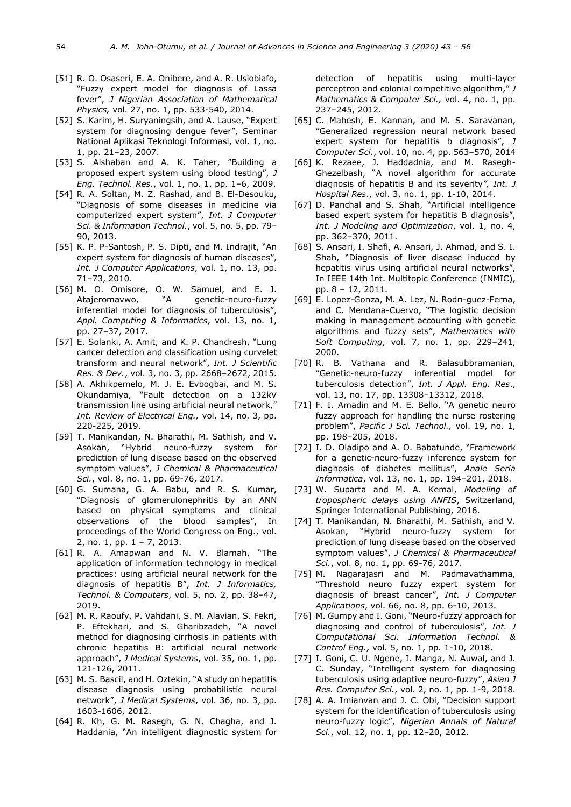- [51] R. O. Osaseri, E. A. Onibere, and A. R. Usiobiafo, "Fuzzy expert model for diagnosis of Lassa fever", *J Nigerian Association of Mathematical Physics,* vol. 27, no. 1, pp. 533-540, 2014.
- [52] S. Karim, H. Suryaningsih, and A. Lause, "Expert system for diagnosing dengue fever", Seminar National Aplikasi Teknologi Informasi, vol. 1, no. 1, pp. 21–23, 2007.
- [53] S. Alshaban and A. K. Taher, "Building a proposed expert system using blood testing", *J Eng. Technol. Res.*, vol. 1, no. 1, pp. 1–6, 2009.
- [54] R. A. Soltan, M. Z. Rashad, and B. El-Desouku, "Diagnosis of some diseases in medicine via computerized expert system", *Int. J Computer Sci. & Information Technol.*, vol. 5, no. 5, pp. 79– 90, 2013.
- [55] K. P. P-Santosh, P. S. Dipti, and M. Indrajit, "An expert system for diagnosis of human diseases", *Int. J Computer Applications*, vol. 1, no. 13, pp. 71–73, 2010.
- [56] M. O. Omisore, O. W. Samuel, and E. J. Atajeromavwo, "A genetic-neuro-fuzzy inferential model for diagnosis of tuberculosis", *Appl. Computing & Informatics*, vol. 13, no. 1, pp. 27–37, 2017.
- [57] E. Solanki, A. Amit, and K. P. Chandresh, "Lung cancer detection and classification using curvelet transform and neural network", *Int. J Scientific Res. & Dev.*, vol. 3, no. 3, pp. 2668–2672, 2015.
- [58] A. Akhikpemelo, M. J. E. Evbogbai, and M. S. Okundamiya, "Fault detection on a 132kV transmission line using artificial neural network," *Int. Review of Electrical Eng.,* vol. 14, no. 3, pp. 220-225, 2019.
- [59] T. Manikandan, N. Bharathi, M. Sathish, and V. Asokan, "Hybrid neuro-fuzzy system for prediction of lung disease based on the observed symptom values", *J Chemical & Pharmaceutical Sci.*, vol. 8, no. 1, pp. 69-76, 2017.
- [60] G. Sumana, G. A. Babu, and R. S. Kumar, "Diagnosis of glomerulonephritis by an ANN based on physical symptoms and clinical observations of the blood samples", In proceedings of the World Congress on Eng., vol. 2, no. 1, pp. 1 – 7, 2013.
- [61] R. A. Amapwan and N. V. Blamah, "The application of information technology in medical practices: using artificial neural network for the diagnosis of hepatitis B", *Int. J Informatics, Technol. & Computers*, vol. 5, no. 2, pp. 38–47, 2019.
- [62] M. R. Raoufy, P. Vahdani, S. M. Alavian, S. Fekri, P. Eftekhari, and S. Gharibzadeh, "A novel method for diagnosing cirrhosis in patients with chronic hepatitis B: artificial neural network approach", *J Medical Systems*, vol. 35, no. 1, pp. 121-126, 2011.
- [63] M. S. Bascil, and H. Oztekin, "A study on hepatitis disease diagnosis using probabilistic neural network", *J Medical Systems*, vol. 36, no. 3, pp. 1603-1606, 2012.
- [64] R. Kh, G. M. Rasegh, G. N. Chagha, and J. Haddania, "An intelligent diagnostic system for

detection of hepatitis using multi-layer perceptron and colonial competitive algorithm," *J Mathematics & Computer Sci.,* vol. 4, no. 1, pp. 237–245, 2012.

- [65] C. Mahesh, E. Kannan, and M. S. Saravanan, "Generalized regression neural network based expert system for hepatitis b diagnosis", *J Computer Sci.*, vol. 10, no. 4, pp. 563–570, 2014
- [66] K. Rezaee, J. Haddadnia, and M. Rasegh-Ghezelbash, "A novel algorithm for accurate diagnosis of hepatitis B and its severity*", Int. J Hospital Res*., vol. 3, no. 1, pp. 1-10, 2014.
- [67] D. Panchal and S. Shah, "Artificial intelligence based expert system for hepatitis B diagnosis", *Int. J Modeling and Optimization*, vol. 1, no. 4, pp. 362–370, 2011.
- [68] S. Ansari, I. Shafi, A. Ansari, J. Ahmad, and S. I. Shah, "Diagnosis of liver disease induced by hepatitis virus using artificial neural networks", In IEEE 14th Int. Multitopic Conference (INMIC), pp. 8 – 12, 2011.
- [69] E. Lopez-Gonza, M. A. Lez, N. Rodrı-guez-Ferna, and C. Mendana-Cuervo, "The logistic decision making in management accounting with genetic algorithms and fuzzy sets", *Mathematics with Soft Computing*, vol. 7, no. 1, pp. 229–241, 2000.
- [70] R. B. Vathana and R. Balasubbramanian, "Genetic-neuro-fuzzy inferential model for tuberculosis detection", *Int. J Appl. Eng. Res*., vol. 13, no. 17, pp. 13308–13312, 2018.
- [71] F. I. Amadin and M. E. Bello, "A genetic neuro fuzzy approach for handling the nurse rostering problem", *Pacific J Sci. Technol.,* vol. 19, no. 1, pp. 198–205, 2018.
- [72] I. D. Oladipo and A. O. Babatunde, "Framework for a genetic-neuro-fuzzy inference system for diagnosis of diabetes mellitus", *Anale Seria Informatica*, vol. 13, no. 1, pp. 194–201, 2018.
- [73] W. Suparta and M. A. Kemal, *Modeling of tropospheric delays using ANFIS*, Switzerland, Springer International Publishing, 2016.
- [74] T. Manikandan, N. Bharathi, M. Sathish, and V. Asokan, "Hybrid neuro-fuzzy system for prediction of lung disease based on the observed symptom values", *J Chemical & Pharmaceutical Sci.*, vol. 8, no. 1, pp. 69-76, 2017.
- [75] M. Nagarajasri and M. Padmavathamma, "Threshold neuro fuzzy expert system for diagnosis of breast cancer", *Int. J Computer Applications*, vol. 66, no. 8, pp. 6-10, 2013.
- [76] M. Gumpy and I. Goni, "Neuro-fuzzy approach for diagnosing and control of tuberculosis", *Int. J Computational Sci. Information Technol. & Control Eng.,* vol. 5, no. 1, pp. 1-10, 2018.
- [77] I. Goni, C. U. Ngene, I. Manga, N. Auwal, and J. C. Sunday, "Intelligent system for diagnosing tuberculosis using adaptive neuro-fuzzy", *Asian J Res. Computer Sci.*, vol. 2, no. 1, pp. 1-9, 2018.
- [78] A. A. Imianvan and J. C. Obi, "Decision support system for the identification of tuberculosis using neuro-fuzzy logic", *Nigerian Annals of Natural Sci.*, vol. 12, no. 1, pp. 12–20, 2012.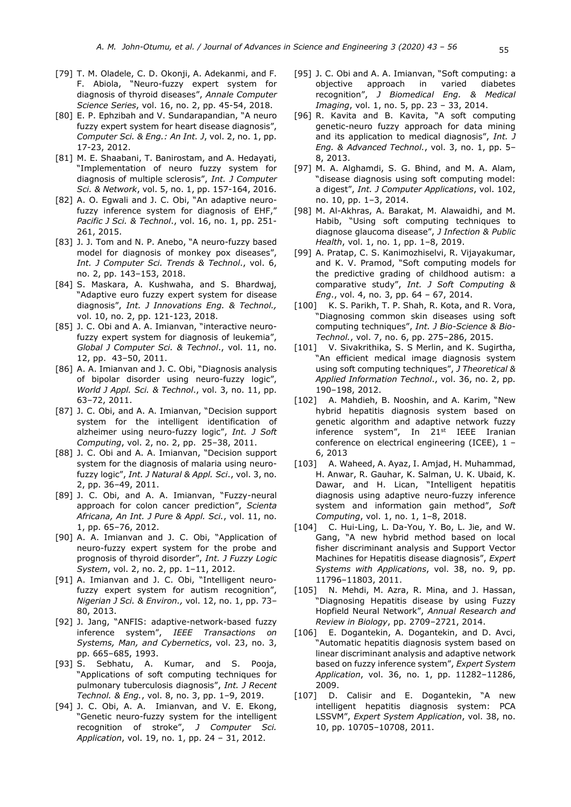- [79] T. M. Oladele, C. D. Okonji, A. Adekanmi, and F. F. Abiola, "Neuro-fuzzy expert system for diagnosis of thyroid diseases", *Annale Computer Science Series*, vol. 16, no. 2, pp. 45-54, 2018.
- [80] E. P. Ephzibah and V. Sundarapandian, "A neuro fuzzy expert system for heart disease diagnosis", *Computer Sci. & Eng.: An Int. J*, vol. 2, no. 1, pp. 17-23, 2012.
- [81] M. E. Shaabani, T. Banirostam, and A. Hedayati, "Implementation of neuro fuzzy system for diagnosis of multiple sclerosis", *Int. J Computer Sci. & Network*, vol. 5, no. 1, pp. 157-164, 2016.
- [82] A. O. Egwali and J. C. Obi, "An adaptive neurofuzzy inference system for diagnosis of EHF," *Pacific J Sci. & Technol*., vol. 16, no. 1, pp. 251- 261, 2015.
- [83] J. J. Tom and N. P. Anebo, "A neuro-fuzzy based model for diagnosis of monkey pox diseases", *Int. J Computer Sci. Trends & Technol*., vol. 6, no. 2, pp. 143–153, 2018.
- [84] S. Maskara, A. Kushwaha, and S. Bhardwaj, "Adaptive euro fuzzy expert system for disease diagnosis", *Int. J Innovations Eng. & Technol.,* vol. 10, no. 2, pp. 121-123, 2018.
- [85] J. C. Obi and A. A. Imianvan, "interactive neurofuzzy expert system for diagnosis of leukemia", *Global J Computer Sci. & Technol*., vol. 11, no. 12, pp. 43–50, 2011.
- [86] A. A. Imianvan and J. C. Obi, "Diagnosis analysis of bipolar disorder using neuro-fuzzy logic", *World J Appl. Sci. & Technol*., vol. 3, no. 11, pp. 63–72, 2011.
- [87] J. C. Obi, and A. A. Imianvan, "Decision support system for the intelligent identification of alzheimer using neuro-fuzzy logic", *Int. J Soft Computing*, vol. 2, no. 2, pp. 25–38, 2011.
- [88] J. C. Obi and A. A. Imianvan, "Decision support system for the diagnosis of malaria using neurofuzzy logic", *Int. J Natural & Appl. Sci*., vol. 3, no. 2, pp. 36–49, 2011.
- [89] J. C. Obi, and A. A. Imianvan, "Fuzzy-neural approach for colon cancer prediction", *Scienta Africana, An Int. J Pure & Appl. Sci.*, vol. 11, no. 1, pp. 65–76, 2012.
- [90] A. A. Imianvan and J. C. Obi, "Application of neuro-fuzzy expert system for the probe and prognosis of thyroid disorder", *Int. J Fuzzy Logic System*, vol. 2, no. 2, pp. 1–11, 2012.
- [91] A. Imianvan and J. C. Obi, "Intelligent neurofuzzy expert system for autism recognition", *Nigerian J Sci. & Environ.,* vol. 12, no. 1, pp. 73– 80, 2013.
- [92] J. Jang, "ANFIS: adaptive-network-based fuzzy inference system", *IEEE Transactions on Systems, Man, and Cybernetics*, vol. 23, no. 3, pp. 665–685, 1993.
- [93] S. Sebhatu, A. Kumar, and S. Pooja, "Applications of soft computing techniques for pulmonary tuberculosis diagnosis", *Int. J Recent Technol. & Eng.*, vol. 8, no. 3, pp. 1–9, 2019.
- [94] J. C. Obi, A. A. Imianvan, and V. E. Ekong, "Genetic neuro-fuzzy system for the intelligent recognition of stroke", *J Computer Sci. Application*, vol. 19, no. 1, pp. 24 – 31, 2012.
- [95] J. C. Obi and A. A. Imianvan, "Soft computing: a objective approach in varied diabetes recognition", *J Biomedical Eng. & Medical Imaging*, vol. 1, no. 5, pp. 23 – 33, 2014.
- [96] R. Kavita and B. Kavita, "A soft computing genetic-neuro fuzzy approach for data mining and its application to medical diagnosis", *Int. J Eng. & Advanced Technol.*, vol. 3, no. 1, pp. 5– 8, 2013.
- [97] M. A. Alghamdi, S. G. Bhind, and M. A. Alam, "disease diagnosis using soft computing model: a digest", *Int. J Computer Applications*, vol. 102, no. 10, pp. 1–3, 2014.
- [98] M. Al-Akhras, A. Barakat, M. Alawaidhi, and M. Habib, "Using soft computing techniques to diagnose glaucoma disease", *J Infection & Public Health*, vol. 1, no. 1, pp. 1–8, 2019.
- [99] A. Pratap, C. S. Kanimozhiselvi, R. Vijayakumar, and K. V. Pramod, "Soft computing models for the predictive grading of childhood autism: a comparative study", *Int. J Soft Computing & Eng*., vol. 4, no. 3, pp. 64 – 67, 2014.
- [100] K. S. Parikh, T. P. Shah, R. Kota, and R. Vora, "Diagnosing common skin diseases using soft computing techniques", *Int. J Bio-Science & Bio-Technol.*, vol. 7, no. 6, pp. 275–286, 2015.
- [101] V. Sivakrithika, S. S Merlin, and K. Sugirtha, "An efficient medical image diagnosis system using soft computing techniques", *J Theoretical & Applied Information Technol*., vol. 36, no. 2, pp. 190–198, 2012.
- [102] A. Mahdieh, B. Nooshin, and A. Karim, "New hybrid hepatitis diagnosis system based on genetic algorithm and adaptive network fuzzy inference system", In 21<sup>st</sup> IEEE Iranian conference on electrical engineering (ICEE), 1 – 6, 2013
- [103] A. Waheed, A. Ayaz, I. Amjad, H. Muhammad, H. Anwar, R. Gauhar, K. Salman, U. K. Ubaid, K. Dawar, and H. Lican, "Intelligent hepatitis diagnosis using adaptive neuro-fuzzy inference system and information gain method", *Soft Computing*, vol. 1, no. 1, 1–8, 2018.
- [104] C. Hui-Ling, L. Da-You, Y. Bo, L. Jie, and W. Gang, "A new hybrid method based on local fisher discriminant analysis and Support Vector Machines for Hepatitis disease diagnosis", *Expert Systems with Applications*, vol. 38, no. 9, pp. 11796–11803, 2011.
- [105] N. Mehdi, M. Azra, R. Mina, and J. Hassan, "Diagnosing Hepatitis disease by using Fuzzy Hopfield Neural Network", *Annual Research and Review in Biology*, pp. 2709–2721, 2014.
- [106] E. Dogantekin, A. Dogantekin, and D. Avci, "Automatic hepatitis diagnosis system based on linear discriminant analysis and adaptive network based on fuzzy inference system", *Expert System Application*, vol. 36, no. 1, pp. 11282–11286, 2009.
- [107] D. Calisir and E. Dogantekin, "A new intelligent hepatitis diagnosis system: PCA LSSVM", *Expert System Application*, vol. 38, no. 10, pp. 10705–10708, 2011.